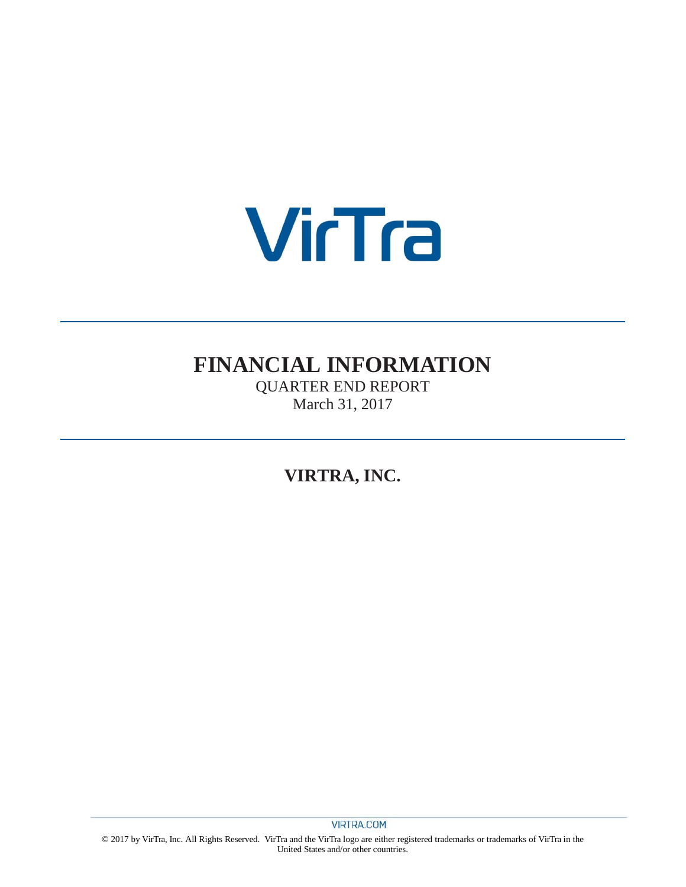

# **FINANCIAL INFORMATION**

QUARTER END REPORT March 31, 2017

**VIRTRA, INC.**

© 2017 by VirTra, Inc. All Rights Reserved. VirTra and the VirTra logo are either registered trademarks or trademarks of VirTra in the United States and/or other countries.

**VIRTRA.COM**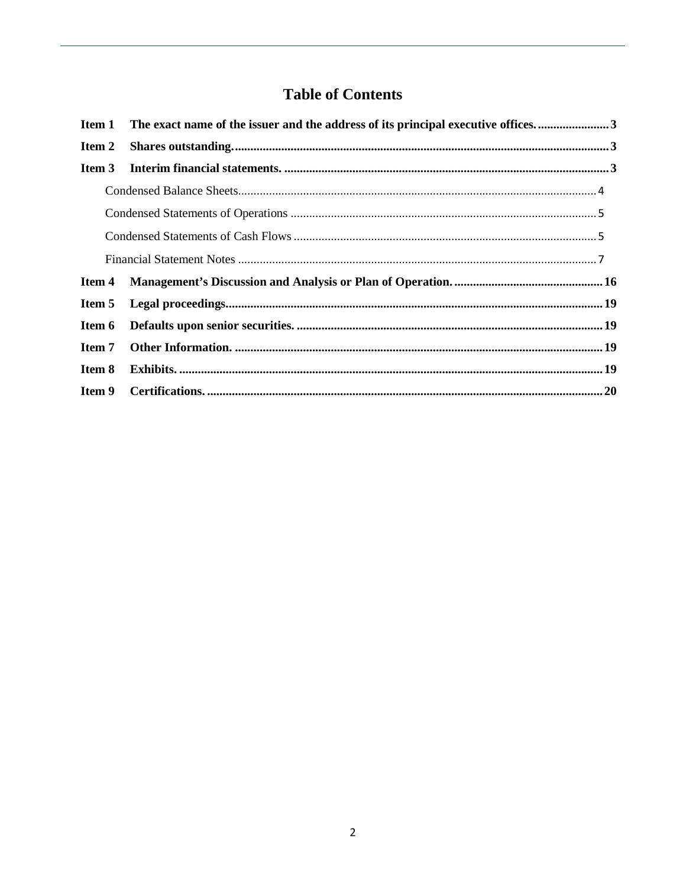## **Table of Contents**

| Item 1 | The exact name of the issuer and the address of its principal executive offices3 |  |
|--------|----------------------------------------------------------------------------------|--|
| Item 2 |                                                                                  |  |
| Item 3 |                                                                                  |  |
|        |                                                                                  |  |
|        |                                                                                  |  |
|        |                                                                                  |  |
|        |                                                                                  |  |
| Item 4 |                                                                                  |  |
| Item 5 |                                                                                  |  |
| Item 6 |                                                                                  |  |
| Item 7 |                                                                                  |  |
| Item 8 |                                                                                  |  |
| Item 9 |                                                                                  |  |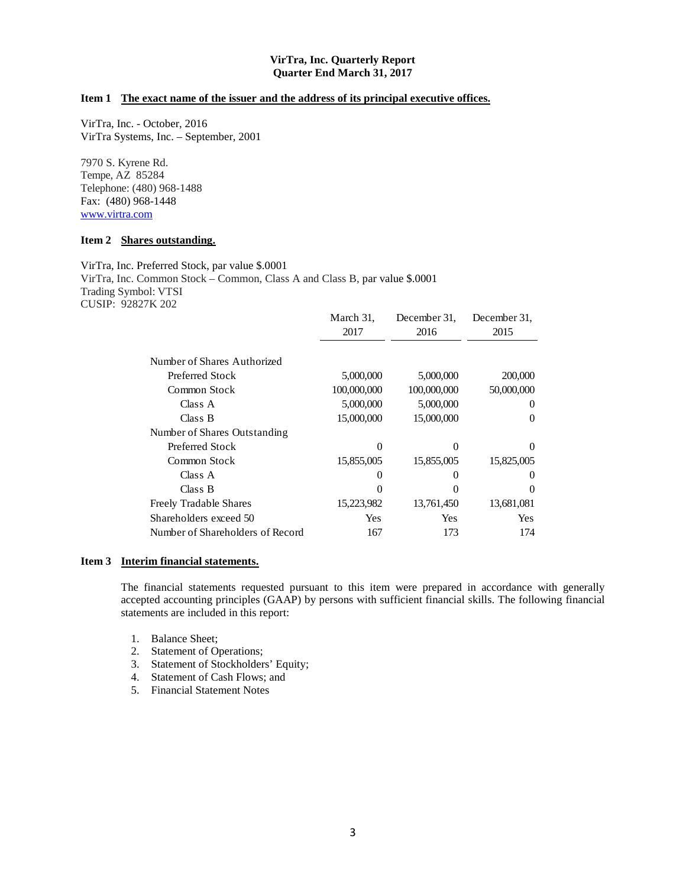#### **VirTra, Inc. Quarterly Report Quarter End March 31, 2017**

## <span id="page-2-0"></span>**Item 1 The exact name of the issuer and the address of its principal executive offices.**

VirTra, Inc. - October, 2016 VirTra Systems, Inc. – September, 2001

7970 S. Kyrene Rd. Tempe, AZ 85284 Telephone: (480) 968-1488 Fax: (480) 968-1448 www.virtra.com

#### <span id="page-2-1"></span>**Item 2 Shares outstanding.**

VirTra, Inc. Preferred Stock, par value \$.0001 VirTra, Inc. Common Stock – Common, Class A and Class B, par value \$.0001 Trading Symbol: VTSI CUSIP: 92827K 202

|                                  | March 31,   | December 31. | December 31. |
|----------------------------------|-------------|--------------|--------------|
|                                  | 2017        | 2016         | 2015         |
| Number of Shares Authorized      |             |              |              |
| Preferred Stock                  | 5,000,000   | 5,000,000    | 200,000      |
|                                  |             |              |              |
| Common Stock                     | 100,000,000 | 100,000,000  | 50,000,000   |
| Class A                          | 5,000,000   | 5,000,000    | $\theta$     |
| Class B                          | 15,000,000  | 15,000,000   | 0            |
| Number of Shares Outstanding     |             |              |              |
| Preferred Stock                  | 0           | $\Omega$     | 0            |
| Common Stock                     | 15,855,005  | 15,855,005   | 15,825,005   |
| Class A                          | $\Omega$    | $\theta$     | $\Omega$     |
| Class B                          | 0           |              | 0            |
| <b>Freely Tradable Shares</b>    | 15,223,982  | 13,761,450   | 13,681,081   |
| Shareholders exceed 50           | Yes         | Yes          | Yes          |
| Number of Shareholders of Record | 167         | 173          | 174          |

#### <span id="page-2-2"></span>**Item 3 Interim financial statements.**

The financial statements requested pursuant to this item were prepared in accordance with generally accepted accounting principles (GAAP) by persons with sufficient financial skills. The following financial statements are included in this report:

- 1. Balance Sheet;
- 2. Statement of Operations;
- 3. Statement of Stockholders' Equity;
- 4. Statement of Cash Flows; and
- 5. Financial Statement Notes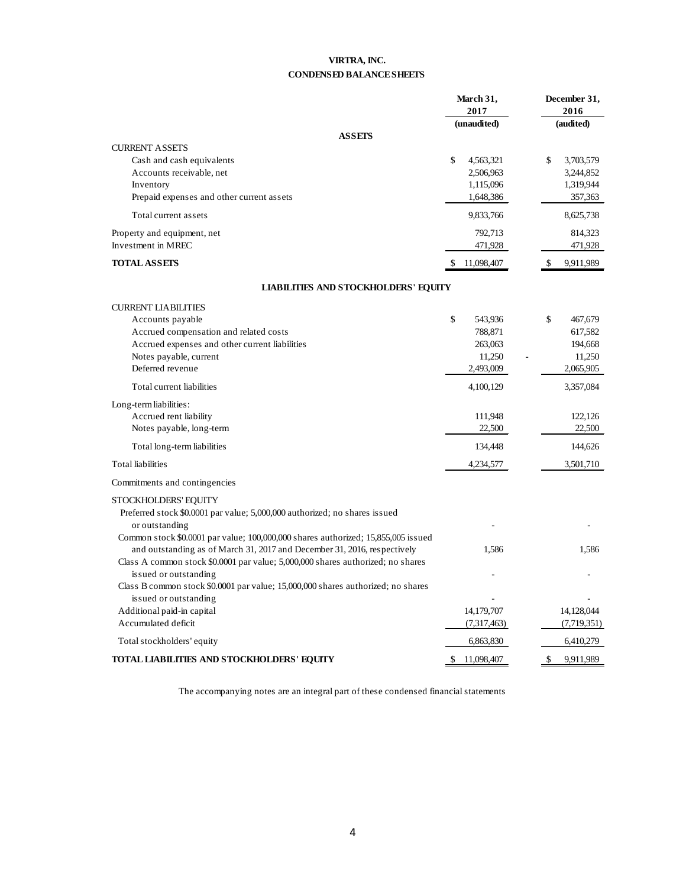## **VIRTRA, INC. CONDENSED BALANCE SHEETS**

<span id="page-3-0"></span>

|                                                                                                                                                                                                                                                                           | March 31,                                                  | December 31,                                               |
|---------------------------------------------------------------------------------------------------------------------------------------------------------------------------------------------------------------------------------------------------------------------------|------------------------------------------------------------|------------------------------------------------------------|
|                                                                                                                                                                                                                                                                           | 2017                                                       | 2016                                                       |
|                                                                                                                                                                                                                                                                           | (unaudited)                                                | (audited)                                                  |
| <b>ASSEIS</b>                                                                                                                                                                                                                                                             |                                                            |                                                            |
| <b>CURRENT ASSETS</b><br>Cash and cash equivalents<br>Accounts receivable, net<br>Inventory<br>Prepaid expenses and other current assets                                                                                                                                  | \$<br>4,563,321<br>2,506,963<br>1,115,096<br>1,648,386     | \$<br>3,703,579<br>3,244,852<br>1,319,944<br>357,363       |
| Total current assets                                                                                                                                                                                                                                                      | 9,833,766                                                  | 8,625,738                                                  |
| Property and equipment, net<br>Investment in MREC                                                                                                                                                                                                                         | 792,713<br>471,928                                         | 814,323<br>471,928                                         |
| <b>TOTAL ASSETS</b>                                                                                                                                                                                                                                                       | 11,098,407<br>\$                                           | 9,911,989<br>\$                                            |
| <b>LIABILITIES AND STOCKHOLDERS' EQUITY</b>                                                                                                                                                                                                                               |                                                            |                                                            |
| <b>CURRENT LIABILITIES</b>                                                                                                                                                                                                                                                |                                                            |                                                            |
| Accounts payable<br>Accrued compensation and related costs<br>Accrued expenses and other current liabilities<br>Notes payable, current<br>Deferred revenue                                                                                                                | \$<br>543,936<br>788,871<br>263,063<br>11,250<br>2,493,009 | \$<br>467,679<br>617,582<br>194,668<br>11,250<br>2,065,905 |
| Total current liabilities                                                                                                                                                                                                                                                 | 4,100,129                                                  | 3,357,084                                                  |
| Long-term liabilities:<br>Accrued rent liability<br>Notes payable, long-term<br>Total long-term liabilities                                                                                                                                                               | 111,948<br>22,500<br>134,448                               | 122,126<br>22,500<br>144,626                               |
| <b>Total liabilities</b>                                                                                                                                                                                                                                                  | 4,234,577                                                  | 3,501,710                                                  |
| Commitments and contingencies                                                                                                                                                                                                                                             |                                                            |                                                            |
| STOCKHOLDERS' EQUITY<br>Preferred stock \$0.0001 par value; 5,000,000 authorized; no shares issued<br>or outstanding                                                                                                                                                      |                                                            |                                                            |
| Common stock \$0.0001 par value; 100,000,000 shares authorized; 15,855,005 issued<br>and outstanding as of March 31, 2017 and December 31, 2016, respectively<br>Class A common stock \$0.0001 par value; 5,000,000 shares authorized; no shares<br>issued or outstanding | 1,586                                                      | 1,586                                                      |
| Class B common stock \$0.0001 par value; 15,000,000 shares authorized; no shares<br>issued or outstanding                                                                                                                                                                 |                                                            |                                                            |
| Additional paid-in capital<br>Accumulated deficit                                                                                                                                                                                                                         | 14,179,707<br>(7,317,463)                                  | 14,128,044<br>(7,719,351)                                  |
| Total stockholders' equity                                                                                                                                                                                                                                                | 6,863,830                                                  | 6,410,279                                                  |
| TOTAL LIABILITIES AND STOCKHOLDERS' EQUITY                                                                                                                                                                                                                                | \$<br>11,098,407                                           | \$<br>9,911,989                                            |

The accompanying notes are an integral part of these condensed financial statements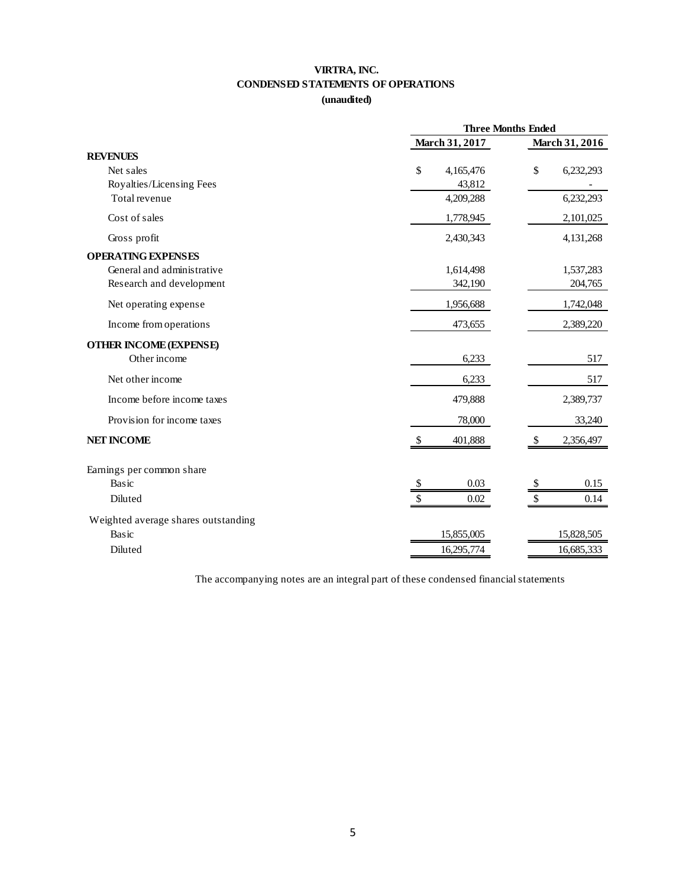## **VIRTRA, INC. CONDENSED STATEMENTS OF OPERATIONS**

## **(unaudited)**

<span id="page-4-0"></span>

|                                     | <b>Three Months Ended</b> |                                 |
|-------------------------------------|---------------------------|---------------------------------|
|                                     | March 31, 2017            | March 31, 2016                  |
| <b>REVENUES</b>                     |                           |                                 |
| Net sales                           | \$<br>4,165,476           | \$<br>6,232,293                 |
| Royalties/Licensing Fees            | 43,812                    |                                 |
| Total revenue                       | 4,209,288                 | 6,232,293                       |
| Cost of sales                       | 1,778,945                 | 2,101,025                       |
| Gross profit                        | 2,430,343                 | 4,131,268                       |
| <b>OPERATING EXPENSES</b>           |                           |                                 |
| General and administrative          | 1,614,498                 | 1,537,283                       |
| Research and development            | 342,190                   | 204,765                         |
| Net operating expense               | 1,956,688                 | 1,742,048                       |
| Income from operations              | 473,655                   | 2,389,220                       |
| <b>OTHER INCOME (EXPENSE)</b>       |                           |                                 |
| Other income                        | 6,233                     | 517                             |
| Net other income                    | 6,233                     | 517                             |
| Income before income taxes          | 479,888                   | 2,389,737                       |
| Provision for income taxes          | 78,000                    | 33,240                          |
| <b>NET INCOME</b>                   | \$<br>401,888             | $\mathcal{S}$<br>2,356,497      |
| Earnings per common share           |                           |                                 |
| Basic                               | 0.03<br>\$                | 0.15<br>$\sqrt[6]{\frac{1}{2}}$ |
| Diluted                             | \$<br>0.02                | \$<br>0.14                      |
| Weighted average shares outstanding |                           |                                 |
| Basic                               | 15,855,005                | 15,828,505                      |
| Diluted                             | 16,295,774                | 16,685,333                      |

<span id="page-4-1"></span>The accompanying notes are an integral part of these condensed financial statements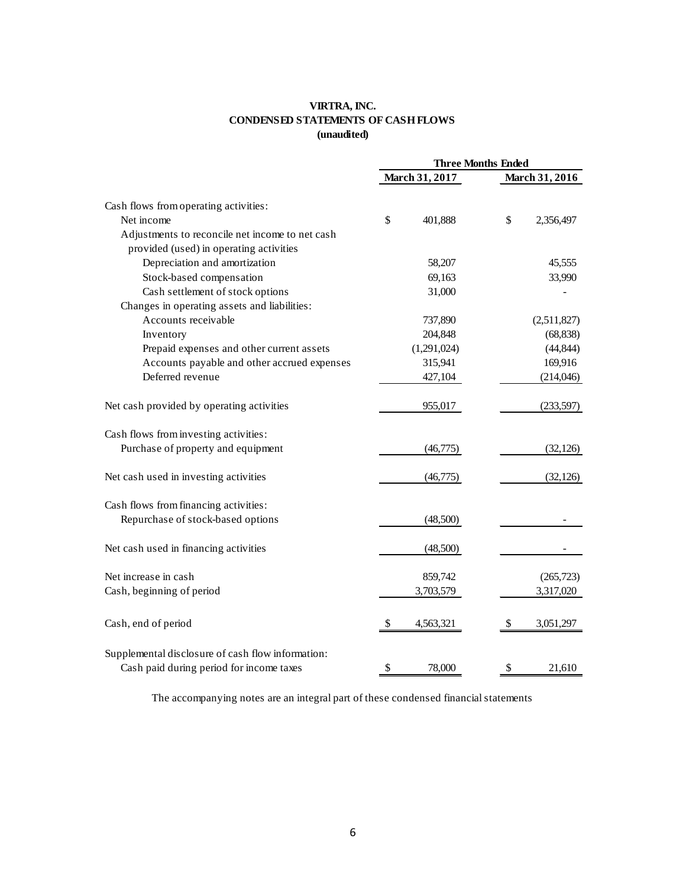## **VIRTRA, INC. CONDENSED STATEMENTS OF CASH FLOWS (unaudited)**

|                                                   | <b>Three Months Ended</b> |                 |  |
|---------------------------------------------------|---------------------------|-----------------|--|
|                                                   | March 31, 2017            | March 31, 2016  |  |
| Cash flows from operating activities:             |                           |                 |  |
| Net income                                        | \$<br>401,888             | \$<br>2,356,497 |  |
| Adjustments to reconcile net income to net cash   |                           |                 |  |
| provided (used) in operating activities           |                           |                 |  |
| Depreciation and amortization                     | 58,207                    | 45,555          |  |
| Stock-based compensation                          | 69,163                    | 33,990          |  |
| Cash settlement of stock options                  | 31,000                    |                 |  |
| Changes in operating assets and liabilities:      |                           |                 |  |
| Accounts receivable                               | 737,890                   | (2,511,827)     |  |
| Inventory                                         | 204,848                   | (68, 838)       |  |
| Prepaid expenses and other current assets         | (1,291,024)               | (44, 844)       |  |
| Accounts payable and other accrued expenses       | 315,941                   | 169,916         |  |
| Deferred revenue                                  | 427,104                   | (214,046)       |  |
| Net cash provided by operating activities         | 955,017                   | (233, 597)      |  |
| Cash flows from investing activities:             |                           |                 |  |
| Purchase of property and equipment                | (46,775)                  | (32, 126)       |  |
| Net cash used in investing activities             | (46, 775)                 | (32, 126)       |  |
| Cash flows from financing activities:             |                           |                 |  |
| Repurchase of stock-based options                 | (48,500)                  |                 |  |
| Net cash used in financing activities             | (48,500)                  |                 |  |
| Net increase in cash                              | 859,742                   | (265, 723)      |  |
| Cash, beginning of period                         | 3,703,579                 | 3,317,020       |  |
| Cash, end of period                               | 4,563,321<br>\$           | 3,051,297<br>\$ |  |
| Supplemental disclosure of cash flow information: |                           |                 |  |
| Cash paid during period for income taxes          | \$<br>78,000              | \$<br>21,610    |  |

The accompanying notes are an integral part of these condensed financial statements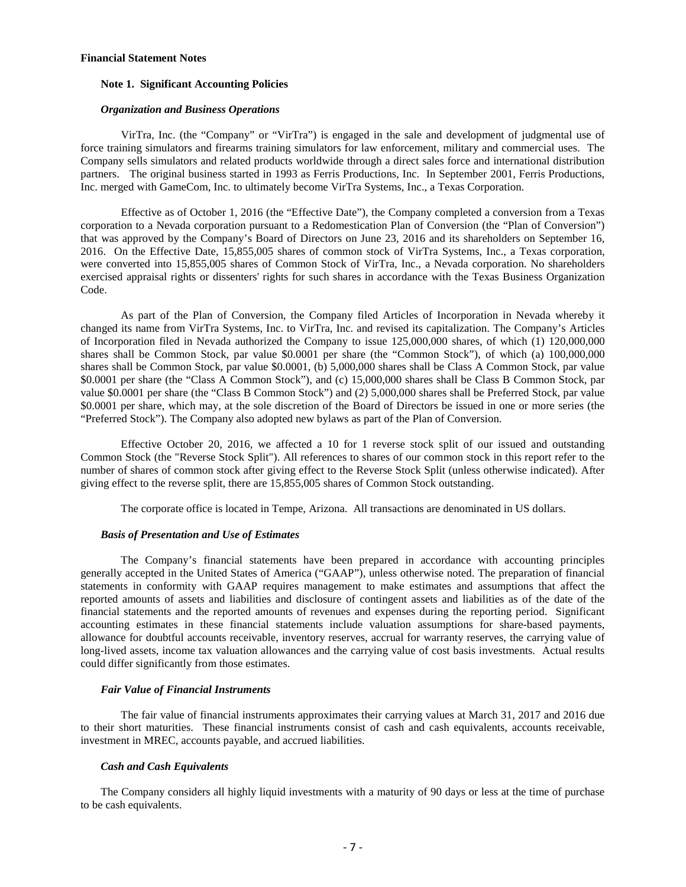#### <span id="page-6-0"></span>**Financial Statement Notes**

#### **Note 1. Significant Accounting Policies**

#### *Organization and Business Operations*

VirTra, Inc. (the "Company" or "VirTra") is engaged in the sale and development of judgmental use of force training simulators and firearms training simulators for law enforcement, military and commercial uses. The Company sells simulators and related products worldwide through a direct sales force and international distribution partners. The original business started in 1993 as Ferris Productions, Inc. In September 2001, Ferris Productions, Inc. merged with GameCom, Inc. to ultimately become VirTra Systems, Inc., a Texas Corporation.

Effective as of October 1, 2016 (the "Effective Date"), the Company completed a conversion from a Texas corporation to a Nevada corporation pursuant to a Redomestication Plan of Conversion (the "Plan of Conversion") that was approved by the Company's Board of Directors on June 23, 2016 and its shareholders on September 16, 2016. On the Effective Date, 15,855,005 shares of common stock of VirTra Systems, Inc., a Texas corporation, were converted into 15,855,005 shares of Common Stock of VirTra, Inc., a Nevada corporation. No shareholders exercised appraisal rights or dissenters' rights for such shares in accordance with the Texas Business Organization Code.

As part of the Plan of Conversion, the Company filed Articles of Incorporation in Nevada whereby it changed its name from VirTra Systems, Inc. to VirTra, Inc. and revised its capitalization. The Company's Articles of Incorporation filed in Nevada authorized the Company to issue 125,000,000 shares, of which (1) 120,000,000 shares shall be Common Stock, par value \$0.0001 per share (the "Common Stock"), of which (a) 100,000,000 shares shall be Common Stock, par value \$0.0001, (b) 5,000,000 shares shall be Class A Common Stock, par value \$0.0001 per share (the "Class A Common Stock"), and (c) 15,000,000 shares shall be Class B Common Stock, par value \$0.0001 per share (the "Class B Common Stock") and (2) 5,000,000 shares shall be Preferred Stock, par value \$0.0001 per share, which may, at the sole discretion of the Board of Directors be issued in one or more series (the "Preferred Stock"). The Company also adopted new bylaws as part of the Plan of Conversion.

Effective October 20, 2016, we affected a 10 for 1 reverse stock split of our issued and outstanding Common Stock (the "Reverse Stock Split"). All references to shares of our common stock in this report refer to the number of shares of common stock after giving effect to the Reverse Stock Split (unless otherwise indicated). After giving effect to the reverse split, there are 15,855,005 shares of Common Stock outstanding.

The corporate office is located in Tempe, Arizona. All transactions are denominated in US dollars.

#### *Basis of Presentation and Use of Estimates*

The Company's financial statements have been prepared in accordance with accounting principles generally accepted in the United States of America ("GAAP"), unless otherwise noted. The preparation of financial statements in conformity with GAAP requires management to make estimates and assumptions that affect the reported amounts of assets and liabilities and disclosure of contingent assets and liabilities as of the date of the financial statements and the reported amounts of revenues and expenses during the reporting period. Significant accounting estimates in these financial statements include valuation assumptions for share-based payments, allowance for doubtful accounts receivable, inventory reserves, accrual for warranty reserves, the carrying value of long-lived assets, income tax valuation allowances and the carrying value of cost basis investments. Actual results could differ significantly from those estimates.

#### *Fair Value of Financial Instruments*

The fair value of financial instruments approximates their carrying values at March 31, 2017 and 2016 due to their short maturities. These financial instruments consist of cash and cash equivalents, accounts receivable, investment in MREC, accounts payable, and accrued liabilities.

#### *Cash and Cash Equivalents*

The Company considers all highly liquid investments with a maturity of 90 days or less at the time of purchase to be cash equivalents.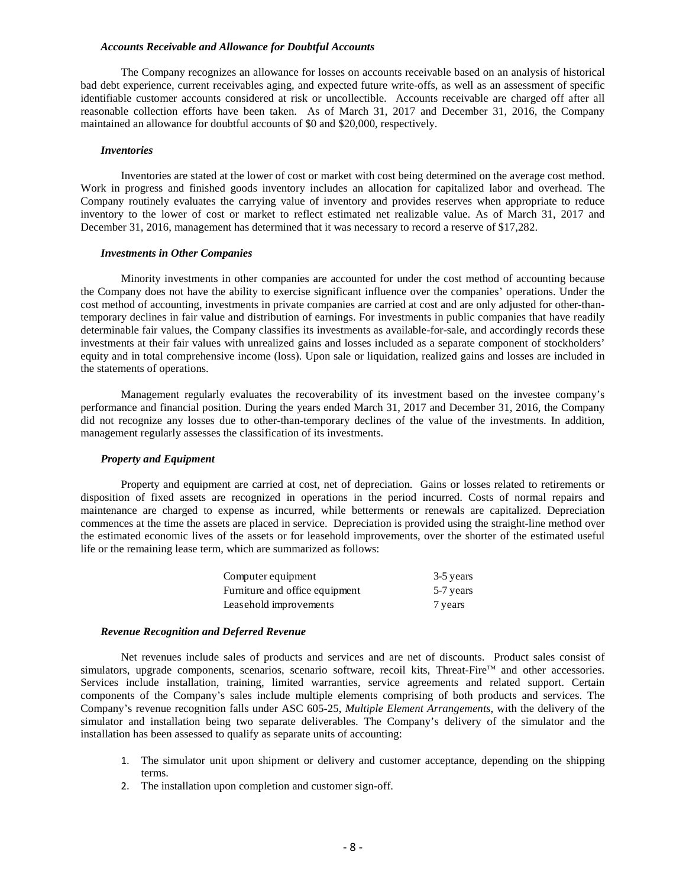#### *Accounts Receivable and Allowance for Doubtful Accounts*

The Company recognizes an allowance for losses on accounts receivable based on an analysis of historical bad debt experience, current receivables aging, and expected future write-offs, as well as an assessment of specific identifiable customer accounts considered at risk or uncollectible. Accounts receivable are charged off after all reasonable collection efforts have been taken. As of March 31, 2017 and December 31, 2016, the Company maintained an allowance for doubtful accounts of \$0 and \$20,000, respectively.

#### *Inventories*

Inventories are stated at the lower of cost or market with cost being determined on the average cost method. Work in progress and finished goods inventory includes an allocation for capitalized labor and overhead. The Company routinely evaluates the carrying value of inventory and provides reserves when appropriate to reduce inventory to the lower of cost or market to reflect estimated net realizable value. As of March 31, 2017 and December 31, 2016, management has determined that it was necessary to record a reserve of \$17,282.

#### *Investments in Other Companies*

Minority investments in other companies are accounted for under the cost method of accounting because the Company does not have the ability to exercise significant influence over the companies' operations. Under the cost method of accounting, investments in private companies are carried at cost and are only adjusted for other-thantemporary declines in fair value and distribution of earnings. For investments in public companies that have readily determinable fair values, the Company classifies its investments as available-for-sale, and accordingly records these investments at their fair values with unrealized gains and losses included as a separate component of stockholders' equity and in total comprehensive income (loss). Upon sale or liquidation, realized gains and losses are included in the statements of operations.

Management regularly evaluates the recoverability of its investment based on the investee company's performance and financial position. During the years ended March 31, 2017 and December 31, 2016, the Company did not recognize any losses due to other-than-temporary declines of the value of the investments. In addition, management regularly assesses the classification of its investments.

#### *Property and Equipment*

Property and equipment are carried at cost, net of depreciation. Gains or losses related to retirements or disposition of fixed assets are recognized in operations in the period incurred. Costs of normal repairs and maintenance are charged to expense as incurred, while betterments or renewals are capitalized. Depreciation commences at the time the assets are placed in service. Depreciation is provided using the straight-line method over the estimated economic lives of the assets or for leasehold improvements, over the shorter of the estimated useful life or the remaining lease term, which are summarized as follows:

| Computer equipment             | 3-5 years |
|--------------------------------|-----------|
| Furniture and office equipment | 5-7 years |
| Leasehold improvements         | 7 years   |

#### *Revenue Recognition and Deferred Revenue*

Net revenues include sales of products and services and are net of discounts. Product sales consist of simulators, upgrade components, scenarios, scenario software, recoil kits, Threat-Fire™ and other accessories. Services include installation, training, limited warranties, service agreements and related support. Certain components of the Company's sales include multiple elements comprising of both products and services. The Company's revenue recognition falls under ASC 605-25, *Multiple Element Arrangements*, with the delivery of the simulator and installation being two separate deliverables. The Company's delivery of the simulator and the installation has been assessed to qualify as separate units of accounting:

- 1. The simulator unit upon shipment or delivery and customer acceptance, depending on the shipping terms.
- 2. The installation upon completion and customer sign-off.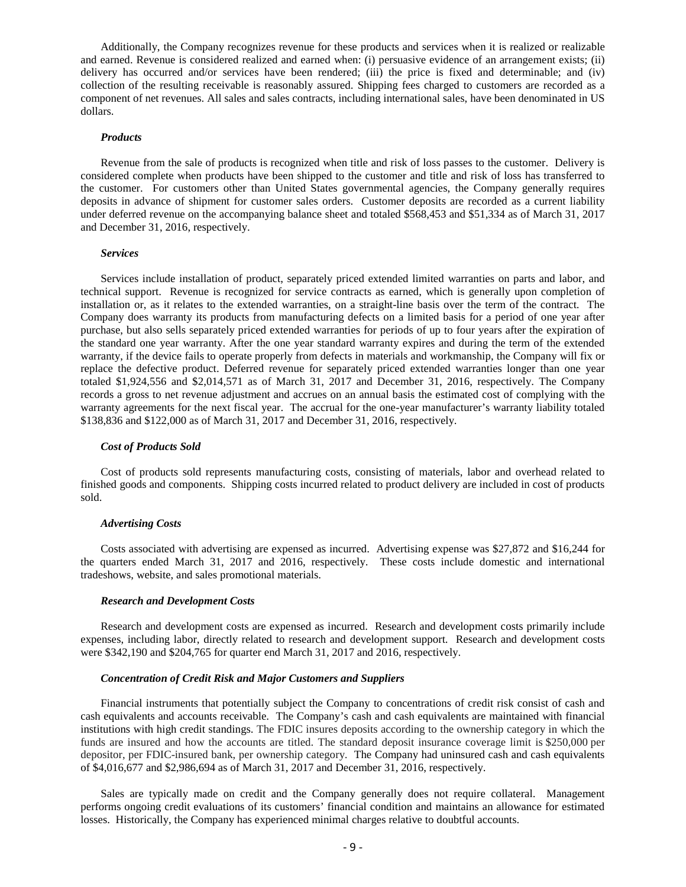Additionally, the Company recognizes revenue for these products and services when it is realized or realizable and earned. Revenue is considered realized and earned when: (i) persuasive evidence of an arrangement exists; (ii) delivery has occurred and/or services have been rendered; (iii) the price is fixed and determinable; and (iv) collection of the resulting receivable is reasonably assured. Shipping fees charged to customers are recorded as a component of net revenues. All sales and sales contracts, including international sales, have been denominated in US dollars.

#### *Products*

Revenue from the sale of products is recognized when title and risk of loss passes to the customer. Delivery is considered complete when products have been shipped to the customer and title and risk of loss has transferred to the customer. For customers other than United States governmental agencies, the Company generally requires deposits in advance of shipment for customer sales orders. Customer deposits are recorded as a current liability under deferred revenue on the accompanying balance sheet and totaled \$568,453 and \$51,334 as of March 31, 2017 and December 31, 2016, respectively.

#### *Services*

Services include installation of product, separately priced extended limited warranties on parts and labor, and technical support. Revenue is recognized for service contracts as earned, which is generally upon completion of installation or, as it relates to the extended warranties, on a straight-line basis over the term of the contract. The Company does warranty its products from manufacturing defects on a limited basis for a period of one year after purchase, but also sells separately priced extended warranties for periods of up to four years after the expiration of the standard one year warranty. After the one year standard warranty expires and during the term of the extended warranty, if the device fails to operate properly from defects in materials and workmanship, the Company will fix or replace the defective product. Deferred revenue for separately priced extended warranties longer than one year totaled \$1,924,556 and \$2,014,571 as of March 31, 2017 and December 31, 2016, respectively. The Company records a gross to net revenue adjustment and accrues on an annual basis the estimated cost of complying with the warranty agreements for the next fiscal year. The accrual for the one-year manufacturer's warranty liability totaled \$138,836 and \$122,000 as of March 31, 2017 and December 31, 2016, respectively.

#### *Cost of Products Sold*

Cost of products sold represents manufacturing costs, consisting of materials, labor and overhead related to finished goods and components. Shipping costs incurred related to product delivery are included in cost of products sold.

#### *Advertising Costs*

Costs associated with advertising are expensed as incurred. Advertising expense was \$27,872 and \$16,244 for the quarters ended March 31, 2017 and 2016, respectively. These costs include domestic and international tradeshows, website, and sales promotional materials.

#### *Research and Development Costs*

Research and development costs are expensed as incurred. Research and development costs primarily include expenses, including labor, directly related to research and development support. Research and development costs were \$342,190 and \$204,765 for quarter end March 31, 2017 and 2016, respectively.

#### *Concentration of Credit Risk and Major Customers and Suppliers*

Financial instruments that potentially subject the Company to concentrations of credit risk consist of cash and cash equivalents and accounts receivable. The Company's cash and cash equivalents are maintained with financial institutions with high credit standings. The FDIC insures deposits according to the ownership category in which the funds are insured and how the accounts are titled. The standard deposit insurance coverage limit is \$250,000 per depositor, per FDIC-insured bank, per ownership category. The Company had uninsured cash and cash equivalents of \$4,016,677 and \$2,986,694 as of March 31, 2017 and December 31, 2016, respectively.

Sales are typically made on credit and the Company generally does not require collateral. Management performs ongoing credit evaluations of its customers' financial condition and maintains an allowance for estimated losses. Historically, the Company has experienced minimal charges relative to doubtful accounts.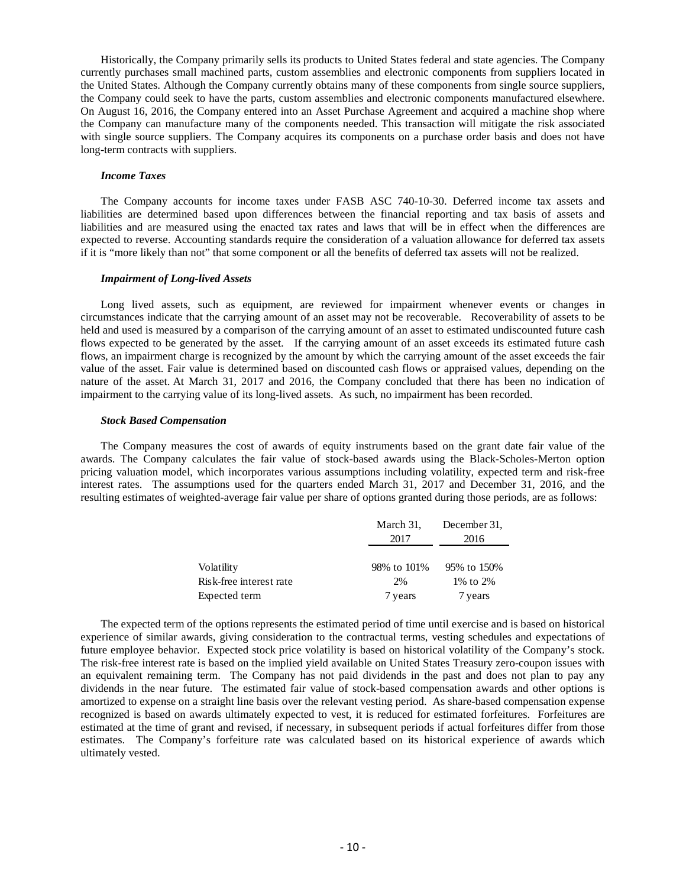Historically, the Company primarily sells its products to United States federal and state agencies. The Company currently purchases small machined parts, custom assemblies and electronic components from suppliers located in the United States. Although the Company currently obtains many of these components from single source suppliers, the Company could seek to have the parts, custom assemblies and electronic components manufactured elsewhere. On August 16, 2016, the Company entered into an Asset Purchase Agreement and acquired a machine shop where the Company can manufacture many of the components needed. This transaction will mitigate the risk associated with single source suppliers. The Company acquires its components on a purchase order basis and does not have long-term contracts with suppliers.

#### *Income Taxes*

The Company accounts for income taxes under FASB ASC 740-10-30. Deferred income tax assets and liabilities are determined based upon differences between the financial reporting and tax basis of assets and liabilities and are measured using the enacted tax rates and laws that will be in effect when the differences are expected to reverse. Accounting standards require the consideration of a valuation allowance for deferred tax assets if it is "more likely than not" that some component or all the benefits of deferred tax assets will not be realized.

#### *Impairment of Long-lived Assets*

Long lived assets, such as equipment, are reviewed for impairment whenever events or changes in circumstances indicate that the carrying amount of an asset may not be recoverable. Recoverability of assets to be held and used is measured by a comparison of the carrying amount of an asset to estimated undiscounted future cash flows expected to be generated by the asset. If the carrying amount of an asset exceeds its estimated future cash flows, an impairment charge is recognized by the amount by which the carrying amount of the asset exceeds the fair value of the asset. Fair value is determined based on discounted cash flows or appraised values, depending on the nature of the asset. At March 31, 2017 and 2016, the Company concluded that there has been no indication of impairment to the carrying value of its long-lived assets. As such, no impairment has been recorded.

#### *Stock Based Compensation*

The Company measures the cost of awards of equity instruments based on the grant date fair value of the awards. The Company calculates the fair value of stock-based awards using the Black-Scholes-Merton option pricing valuation model, which incorporates various assumptions including volatility, expected term and risk-free interest rates. The assumptions used for the quarters ended March 31, 2017 and December 31, 2016, and the resulting estimates of weighted-average fair value per share of options granted during those periods, are as follows:

|                         | March 31,   | December 31. |
|-------------------------|-------------|--------------|
|                         | 2017        | 2016         |
|                         |             |              |
| Volatility              | 98% to 101% | 95% to 150%  |
| Risk-free interest rate | 2%          | 1% to 2%     |
| Expected term           | 7 years     | 7 years      |

The expected term of the options represents the estimated period of time until exercise and is based on historical experience of similar awards, giving consideration to the contractual terms, vesting schedules and expectations of future employee behavior. Expected stock price volatility is based on historical volatility of the Company's stock. The risk-free interest rate is based on the implied yield available on United States Treasury zero-coupon issues with an equivalent remaining term. The Company has not paid dividends in the past and does not plan to pay any dividends in the near future. The estimated fair value of stock-based compensation awards and other options is amortized to expense on a straight line basis over the relevant vesting period. As share-based compensation expense recognized is based on awards ultimately expected to vest, it is reduced for estimated forfeitures. Forfeitures are estimated at the time of grant and revised, if necessary, in subsequent periods if actual forfeitures differ from those estimates. The Company's forfeiture rate was calculated based on its historical experience of awards which ultimately vested.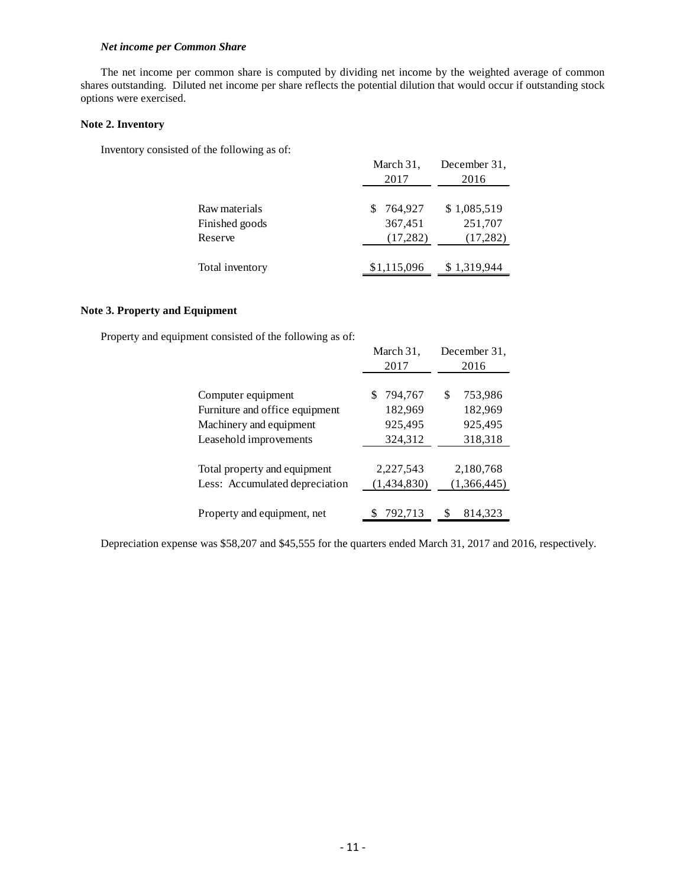#### *Net income per Common Share*

The net income per common share is computed by dividing net income by the weighted average of common shares outstanding. Diluted net income per share reflects the potential dilution that would occur if outstanding stock options were exercised.

#### **Note 2. Inventory**

Inventory consisted of the following as of:

|                                            | March 31,<br>2017               | December 31,<br>2016                |
|--------------------------------------------|---------------------------------|-------------------------------------|
| Raw materials<br>Finished goods<br>Reserve | 764.927<br>367,451<br>(17, 282) | \$1,085,519<br>251,707<br>(17, 282) |
| Total inventory                            | \$1,115,096                     | \$1,319,944                         |

#### **Note 3. Property and Equipment**

Property and equipment consisted of the following as of:

|                                | March 31,   | December 31.  |
|--------------------------------|-------------|---------------|
|                                | 2017        | 2016          |
|                                |             |               |
| Computer equipment             | 794,767     | \$<br>753,986 |
| Furniture and office equipment | 182,969     | 182,969       |
| Machinery and equipment        | 925,495     | 925,495       |
| Leasehold improvements         | 324,312     | 318,318       |
|                                |             |               |
| Total property and equipment   | 2,227,543   | 2,180,768     |
| Less: Accumulated depreciation | (1,434,830) | (1,366,445)   |
|                                |             |               |
| Property and equipment, net    | 792,713     | 814.323       |

Depreciation expense was \$58,207 and \$45,555 for the quarters ended March 31, 2017 and 2016, respectively.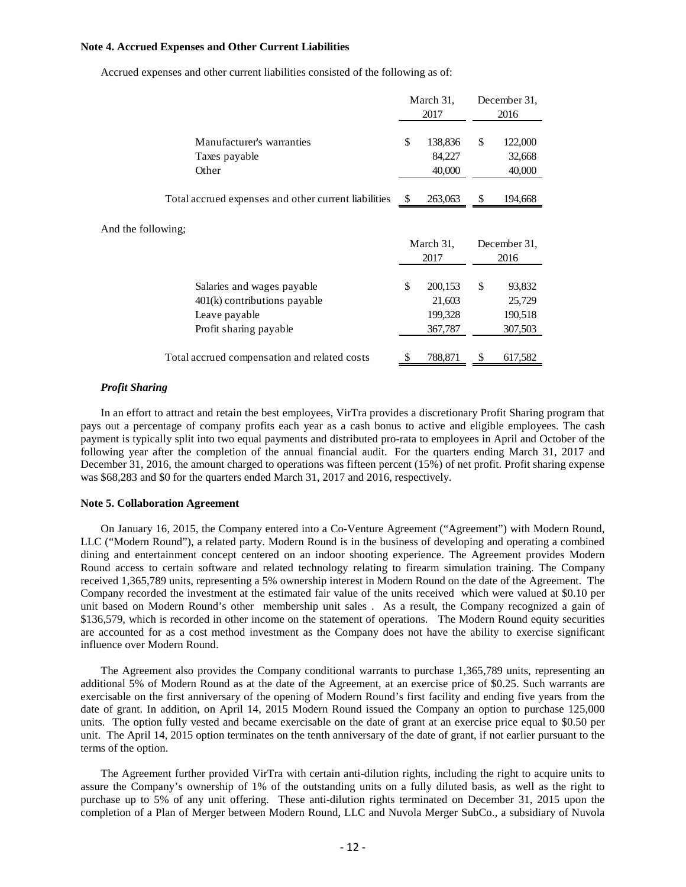#### **Note 4. Accrued Expenses and Other Current Liabilities**

|                                                                                                         |    | March 31,<br>2017                       | December 31.<br>2016                         |
|---------------------------------------------------------------------------------------------------------|----|-----------------------------------------|----------------------------------------------|
| Manufacturer's warranties<br>Taxes payable<br>Other                                                     | \$ | 138,836<br>84,227<br>40,000             | \$<br>122,000<br>32,668<br>40,000            |
| Total accrued expenses and other current liabilities                                                    | -S | 263,063                                 | \$<br>194,668                                |
| And the following;                                                                                      |    | March 31,<br>2017                       | December 31,<br>2016                         |
| Salaries and wages payable<br>$401(k)$ contributions payable<br>Leave payable<br>Profit sharing payable | \$ | 200,153<br>21,603<br>199,328<br>367,787 | \$<br>93,832<br>25,729<br>190,518<br>307,503 |
| Total accrued compensation and related costs                                                            |    | 788,871                                 | 617,582                                      |

Accrued expenses and other current liabilities consisted of the following as of:

#### *Profit Sharing*

In an effort to attract and retain the best employees, VirTra provides a discretionary Profit Sharing program that pays out a percentage of company profits each year as a cash bonus to active and eligible employees. The cash payment is typically split into two equal payments and distributed pro-rata to employees in April and October of the following year after the completion of the annual financial audit. For the quarters ending March 31, 2017 and December 31, 2016, the amount charged to operations was fifteen percent (15%) of net profit. Profit sharing expense was \$68,283 and \$0 for the quarters ended March 31, 2017 and 2016, respectively.

#### **Note 5. Collaboration Agreement**

On January 16, 2015, the Company entered into a Co-Venture Agreement ("Agreement") with Modern Round, LLC ("Modern Round"), a related party. Modern Round is in the business of developing and operating a combined dining and entertainment concept centered on an indoor shooting experience. The Agreement provides Modern Round access to certain software and related technology relating to firearm simulation training. The Company received 1,365,789 units, representing a 5% ownership interest in Modern Round on the date of the Agreement. The Company recorded the investment at the estimated fair value of the units received which were valued at \$0.10 per unit based on Modern Round's other membership unit sales . As a result, the Company recognized a gain of \$136,579, which is recorded in other income on the statement of operations. The Modern Round equity securities are accounted for as a cost method investment as the Company does not have the ability to exercise significant influence over Modern Round.

The Agreement also provides the Company conditional warrants to purchase 1,365,789 units, representing an additional 5% of Modern Round as at the date of the Agreement, at an exercise price of \$0.25. Such warrants are exercisable on the first anniversary of the opening of Modern Round's first facility and ending five years from the date of grant. In addition, on April 14, 2015 Modern Round issued the Company an option to purchase 125,000 units. The option fully vested and became exercisable on the date of grant at an exercise price equal to \$0.50 per unit. The April 14, 2015 option terminates on the tenth anniversary of the date of grant, if not earlier pursuant to the terms of the option.

The Agreement further provided VirTra with certain anti-dilution rights, including the right to acquire units to assure the Company's ownership of 1% of the outstanding units on a fully diluted basis, as well as the right to purchase up to 5% of any unit offering. These anti-dilution rights terminated on December 31, 2015 upon the completion of a Plan of Merger between Modern Round, LLC and Nuvola Merger SubCo., a subsidiary of Nuvola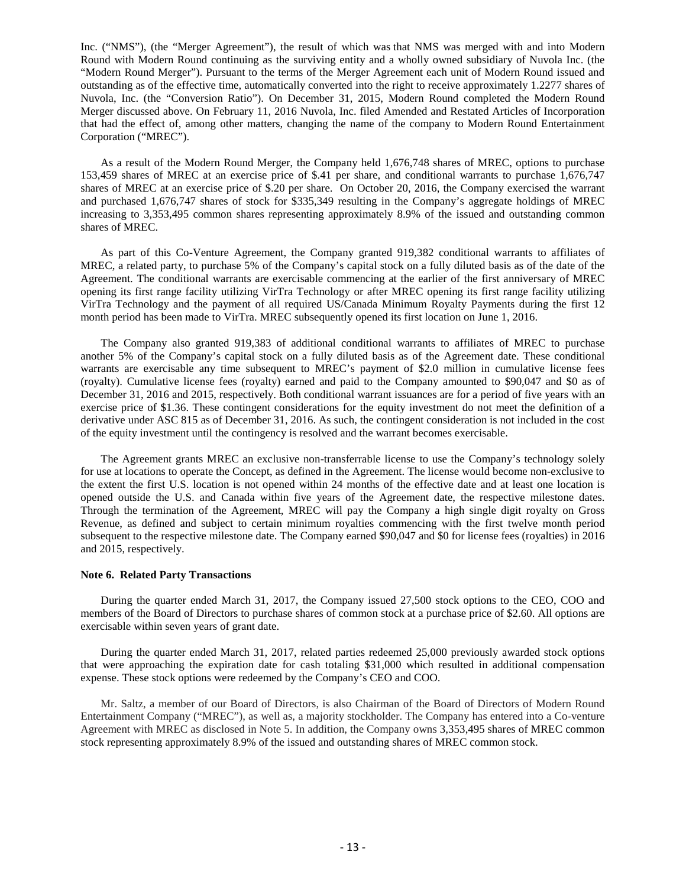Inc. ("NMS"), (the "Merger Agreement"), the result of which was that NMS was merged with and into Modern Round with Modern Round continuing as the surviving entity and a wholly owned subsidiary of Nuvola Inc. (the "Modern Round Merger"). Pursuant to the terms of the Merger Agreement each unit of Modern Round issued and outstanding as of the effective time, automatically converted into the right to receive approximately 1.2277 shares of Nuvola, Inc. (the "Conversion Ratio"). On December 31, 2015, Modern Round completed the Modern Round Merger discussed above. On February 11, 2016 Nuvola, Inc. filed Amended and Restated Articles of Incorporation that had the effect of, among other matters, changing the name of the company to Modern Round Entertainment Corporation ("MREC").

As a result of the Modern Round Merger, the Company held 1,676,748 shares of MREC, options to purchase 153,459 shares of MREC at an exercise price of \$.41 per share, and conditional warrants to purchase 1,676,747 shares of MREC at an exercise price of \$.20 per share. On October 20, 2016, the Company exercised the warrant and purchased 1,676,747 shares of stock for \$335,349 resulting in the Company's aggregate holdings of MREC increasing to 3,353,495 common shares representing approximately 8.9% of the issued and outstanding common shares of MREC.

As part of this Co-Venture Agreement, the Company granted 919,382 conditional warrants to affiliates of MREC, a related party, to purchase 5% of the Company's capital stock on a fully diluted basis as of the date of the Agreement. The conditional warrants are exercisable commencing at the earlier of the first anniversary of MREC opening its first range facility utilizing VirTra Technology or after MREC opening its first range facility utilizing VirTra Technology and the payment of all required US/Canada Minimum Royalty Payments during the first 12 month period has been made to VirTra. MREC subsequently opened its first location on June 1, 2016.

The Company also granted 919,383 of additional conditional warrants to affiliates of MREC to purchase another 5% of the Company's capital stock on a fully diluted basis as of the Agreement date. These conditional warrants are exercisable any time subsequent to MREC's payment of \$2.0 million in cumulative license fees (royalty). Cumulative license fees (royalty) earned and paid to the Company amounted to \$90,047 and \$0 as of December 31, 2016 and 2015, respectively. Both conditional warrant issuances are for a period of five years with an exercise price of \$1.36. These contingent considerations for the equity investment do not meet the definition of a derivative under ASC 815 as of December 31, 2016. As such, the contingent consideration is not included in the cost of the equity investment until the contingency is resolved and the warrant becomes exercisable.

The Agreement grants MREC an exclusive non-transferrable license to use the Company's technology solely for use at locations to operate the Concept, as defined in the Agreement. The license would become non-exclusive to the extent the first U.S. location is not opened within 24 months of the effective date and at least one location is opened outside the U.S. and Canada within five years of the Agreement date, the respective milestone dates. Through the termination of the Agreement, MREC will pay the Company a high single digit royalty on Gross Revenue, as defined and subject to certain minimum royalties commencing with the first twelve month period subsequent to the respective milestone date. The Company earned \$90,047 and \$0 for license fees (royalties) in 2016 and 2015, respectively.

#### **Note 6. Related Party Transactions**

During the quarter ended March 31, 2017, the Company issued 27,500 stock options to the CEO, COO and members of the Board of Directors to purchase shares of common stock at a purchase price of \$2.60. All options are exercisable within seven years of grant date.

During the quarter ended March 31, 2017, related parties redeemed 25,000 previously awarded stock options that were approaching the expiration date for cash totaling \$31,000 which resulted in additional compensation expense. These stock options were redeemed by the Company's CEO and COO.

Mr. Saltz, a member of our Board of Directors, is also Chairman of the Board of Directors of Modern Round Entertainment Company ("MREC"), as well as, a majority stockholder. The Company has entered into a Co-venture Agreement with MREC as disclosed in Note 5. In addition, the Company owns 3,353,495 shares of MREC common stock representing approximately 8.9% of the issued and outstanding shares of MREC common stock.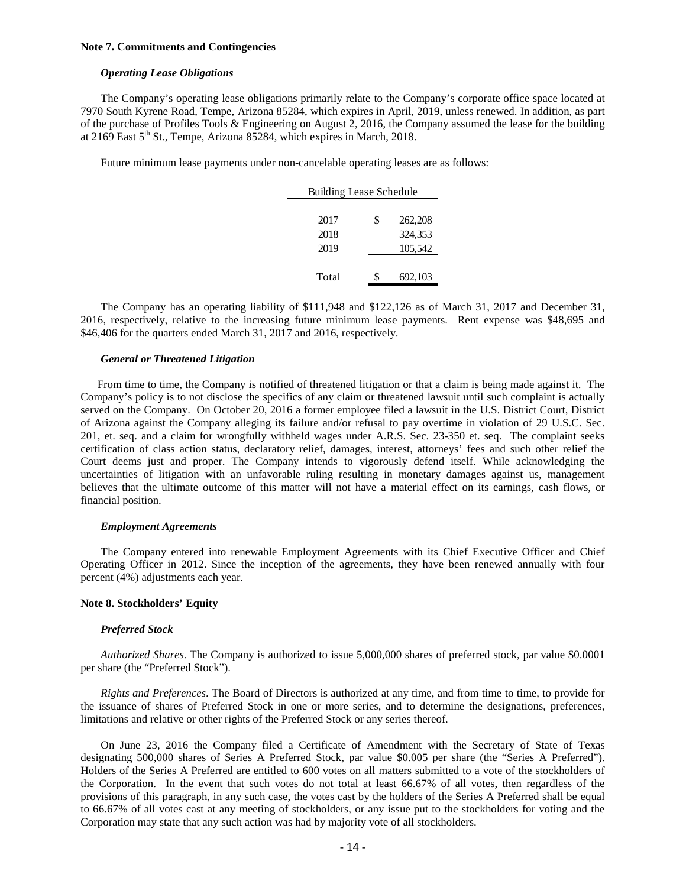#### **Note 7. Commitments and Contingencies**

### *Operating Lease Obligations*

The Company's operating lease obligations primarily relate to the Company's corporate office space located at 7970 South Kyrene Road, Tempe, Arizona 85284, which expires in April, 2019, unless renewed. In addition, as part of the purchase of Profiles Tools & Engineering on August 2, 2016, the Company assumed the lease for the building at  $2169$  East  $5<sup>th</sup>$  St., Tempe, Arizona 85284, which expires in March, 2018.

Future minimum lease payments under non-cancelable operating leases are as follows:

| Building Lease Schedule |    |         |  |  |  |
|-------------------------|----|---------|--|--|--|
|                         |    |         |  |  |  |
| 2017                    | \$ | 262,208 |  |  |  |
| 2018                    |    | 324,353 |  |  |  |
| 2019                    |    | 105,542 |  |  |  |
|                         |    |         |  |  |  |
| Total                   | S  | 692,103 |  |  |  |

The Company has an operating liability of \$111,948 and \$122,126 as of March 31, 2017 and December 31, 2016, respectively, relative to the increasing future minimum lease payments. Rent expense was \$48,695 and \$46,406 for the quarters ended March 31, 2017 and 2016, respectively.

#### *General or Threatened Litigation*

From time to time, the Company is notified of threatened litigation or that a claim is being made against it. The Company's policy is to not disclose the specifics of any claim or threatened lawsuit until such complaint is actually served on the Company. On October 20, 2016 a former employee filed a lawsuit in the U.S. District Court, District of Arizona against the Company alleging its failure and/or refusal to pay overtime in violation of 29 U.S.C. Sec. 201, et. seq. and a claim for wrongfully withheld wages under A.R.S. Sec. 23-350 et. seq. The complaint seeks certification of class action status, declaratory relief, damages, interest, attorneys' fees and such other relief the Court deems just and proper. The Company intends to vigorously defend itself. While acknowledging the uncertainties of litigation with an unfavorable ruling resulting in monetary damages against us, management believes that the ultimate outcome of this matter will not have a material effect on its earnings, cash flows, or financial position.

#### *Employment Agreements*

The Company entered into renewable Employment Agreements with its Chief Executive Officer and Chief Operating Officer in 2012. Since the inception of the agreements, they have been renewed annually with four percent (4%) adjustments each year.

#### **Note 8. Stockholders' Equity**

#### *Preferred Stock*

*Authorized Shares*. The Company is authorized to issue 5,000,000 shares of preferred stock, par value \$0.0001 per share (the "Preferred Stock").

*Rights and Preferences*. The Board of Directors is authorized at any time, and from time to time, to provide for the issuance of shares of Preferred Stock in one or more series, and to determine the designations, preferences, limitations and relative or other rights of the Preferred Stock or any series thereof.

On June 23, 2016 the Company filed a Certificate of Amendment with the Secretary of State of Texas designating 500,000 shares of Series A Preferred Stock, par value \$0.005 per share (the "Series A Preferred"). Holders of the Series A Preferred are entitled to 600 votes on all matters submitted to a vote of the stockholders of the Corporation. In the event that such votes do not total at least 66.67% of all votes, then regardless of the provisions of this paragraph, in any such case, the votes cast by the holders of the Series A Preferred shall be equal to 66.67% of all votes cast at any meeting of stockholders, or any issue put to the stockholders for voting and the Corporation may state that any such action was had by majority vote of all stockholders.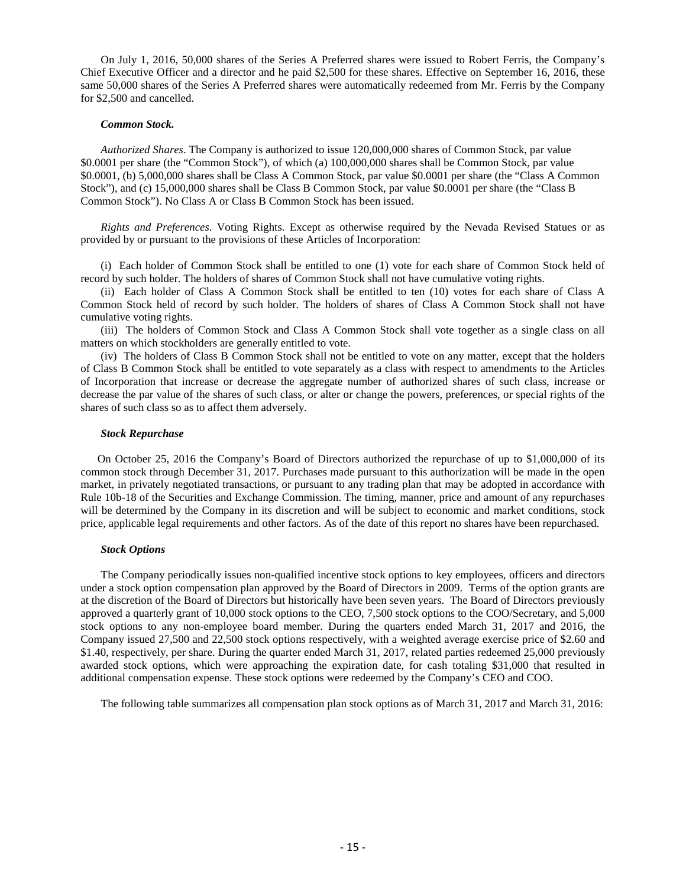On July 1, 2016, 50,000 shares of the Series A Preferred shares were issued to Robert Ferris, the Company's Chief Executive Officer and a director and he paid \$2,500 for these shares. Effective on September 16, 2016, these same 50,000 shares of the Series A Preferred shares were automatically redeemed from Mr. Ferris by the Company for \$2,500 and cancelled.

#### *Common Stock.*

*Authorized Shares*. The Company is authorized to issue 120,000,000 shares of Common Stock, par value \$0.0001 per share (the "Common Stock"), of which (a) 100,000,000 shares shall be Common Stock, par value \$0.0001, (b) 5,000,000 shares shall be Class A Common Stock, par value \$0.0001 per share (the "Class A Common Stock"), and (c) 15,000,000 shares shall be Class B Common Stock, par value \$0.0001 per share (the "Class B Common Stock"). No Class A or Class B Common Stock has been issued.

*Rights and Preferences*. Voting Rights. Except as otherwise required by the Nevada Revised Statues or as provided by or pursuant to the provisions of these Articles of Incorporation:

(i) Each holder of Common Stock shall be entitled to one (1) vote for each share of Common Stock held of record by such holder. The holders of shares of Common Stock shall not have cumulative voting rights.

(ii) Each holder of Class A Common Stock shall be entitled to ten (10) votes for each share of Class A Common Stock held of record by such holder. The holders of shares of Class A Common Stock shall not have cumulative voting rights.

(iii) The holders of Common Stock and Class A Common Stock shall vote together as a single class on all matters on which stockholders are generally entitled to vote.

(iv) The holders of Class B Common Stock shall not be entitled to vote on any matter, except that the holders of Class B Common Stock shall be entitled to vote separately as a class with respect to amendments to the Articles of Incorporation that increase or decrease the aggregate number of authorized shares of such class, increase or decrease the par value of the shares of such class, or alter or change the powers, preferences, or special rights of the shares of such class so as to affect them adversely.

#### *Stock Repurchase*

On October 25, 2016 the Company's Board of Directors authorized the repurchase of up to \$1,000,000 of its common stock through December 31, 2017. Purchases made pursuant to this authorization will be made in the open market, in privately negotiated transactions, or pursuant to any trading plan that may be adopted in accordance with Rule 10b-18 of the Securities and Exchange Commission. The timing, manner, price and amount of any repurchases will be determined by the Company in its discretion and will be subject to economic and market conditions, stock price, applicable legal requirements and other factors. As of the date of this report no shares have been repurchased.

#### *Stock Options*

The Company periodically issues non-qualified incentive stock options to key employees, officers and directors under a stock option compensation plan approved by the Board of Directors in 2009. Terms of the option grants are at the discretion of the Board of Directors but historically have been seven years. The Board of Directors previously approved a quarterly grant of 10,000 stock options to the CEO, 7,500 stock options to the COO/Secretary, and 5,000 stock options to any non-employee board member. During the quarters ended March 31, 2017 and 2016, the Company issued 27,500 and 22,500 stock options respectively, with a weighted average exercise price of \$2.60 and \$1.40, respectively, per share. During the quarter ended March 31, 2017, related parties redeemed 25,000 previously awarded stock options, which were approaching the expiration date, for cash totaling \$31,000 that resulted in additional compensation expense. These stock options were redeemed by the Company's CEO and COO.

The following table summarizes all compensation plan stock options as of March 31, 2017 and March 31, 2016: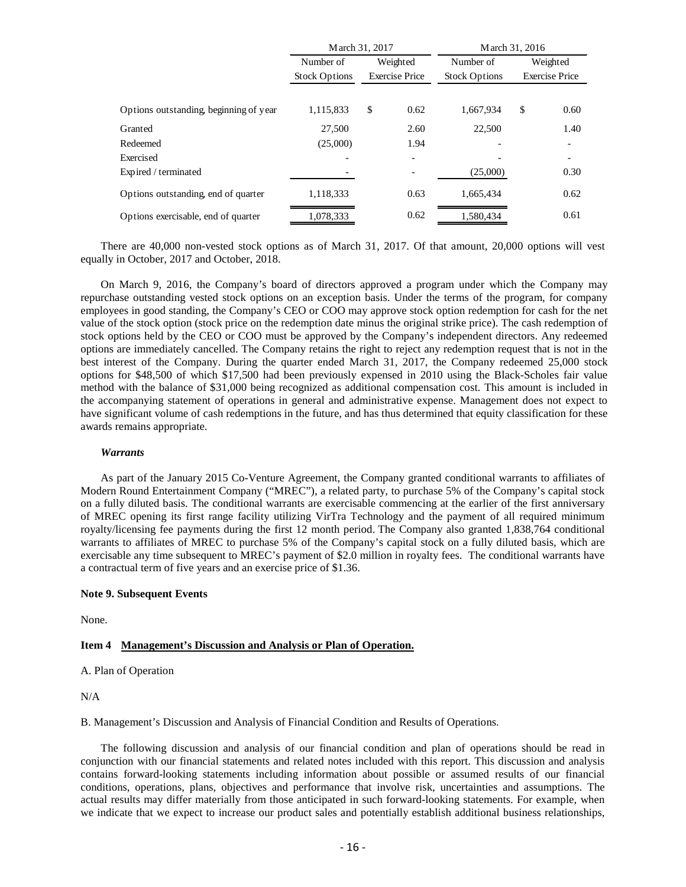|                                        | March 31, 2017       |          | March 31, 2016        |                      |    |                       |
|----------------------------------------|----------------------|----------|-----------------------|----------------------|----|-----------------------|
|                                        | Number of            | Weighted |                       | Number of            |    | Weighted              |
|                                        | <b>Stock Options</b> |          | <b>Exercise Price</b> | <b>Stock Options</b> |    | <b>Exercise Price</b> |
|                                        |                      |          |                       |                      |    |                       |
| Options outstanding, beginning of year | 1,115,833            | \$       | 0.62                  | 1.667.934            | \$ | 0.60                  |
| Granted                                | 27,500               |          | 2.60                  | 22,500               |    | 1.40                  |
| Redeemed                               | (25,000)             |          | 1.94                  |                      |    |                       |
| Exercised                              |                      |          |                       |                      |    |                       |
| Expired / terminated                   |                      |          |                       | (25,000)             |    | 0.30                  |
| Options outstanding, end of quarter    | 1,118,333            |          | 0.63                  | 1,665,434            |    | 0.62                  |
| Options exercisable, end of quarter    | 1,078,333            |          | 0.62                  | 1,580,434            |    | 0.61                  |

There are 40,000 non-vested stock options as of March 31, 2017. Of that amount, 20,000 options will vest equally in October, 2017 and October, 2018.

On March 9, 2016, the Company's board of directors approved a program under which the Company may repurchase outstanding vested stock options on an exception basis. Under the terms of the program, for company employees in good standing, the Company's CEO or COO may approve stock option redemption for cash for the net value of the stock option (stock price on the redemption date minus the original strike price). The cash redemption of stock options held by the CEO or COO must be approved by the Company's independent directors. Any redeemed options are immediately cancelled. The Company retains the right to reject any redemption request that is not in the best interest of the Company. During the quarter ended March 31, 2017, the Company redeemed 25,000 stock options for \$48,500 of which \$17,500 had been previously expensed in 2010 using the Black-Scholes fair value method with the balance of \$31,000 being recognized as additional compensation cost. This amount is included in the accompanying statement of operations in general and administrative expense. Management does not expect to have significant volume of cash redemptions in the future, and has thus determined that equity classification for these awards remains appropriate.

#### *Warrants*

As part of the January 2015 Co-Venture Agreement, the Company granted conditional warrants to affiliates of Modern Round Entertainment Company ("MREC"), a related party, to purchase 5% of the Company's capital stock on a fully diluted basis. The conditional warrants are exercisable commencing at the earlier of the first anniversary of MREC opening its first range facility utilizing VirTra Technology and the payment of all required minimum royalty/licensing fee payments during the first 12 month period. The Company also granted 1,838,764 conditional warrants to affiliates of MREC to purchase 5% of the Company's capital stock on a fully diluted basis, which are exercisable any time subsequent to MREC's payment of \$2.0 million in royalty fees. The conditional warrants have a contractual term of five years and an exercise price of \$1.36.

#### **Note 9. Subsequent Events**

None.

#### <span id="page-15-0"></span>**Item 4 Management's Discussion and Analysis or Plan of Operation.**

A. Plan of Operation

N/A

B. Management's Discussion and Analysis of Financial Condition and Results of Operations.

The following discussion and analysis of our financial condition and plan of operations should be read in conjunction with our financial statements and related notes included with this report. This discussion and analysis contains forward-looking statements including information about possible or assumed results of our financial conditions, operations, plans, objectives and performance that involve risk, uncertainties and assumptions. The actual results may differ materially from those anticipated in such forward-looking statements. For example, when we indicate that we expect to increase our product sales and potentially establish additional business relationships,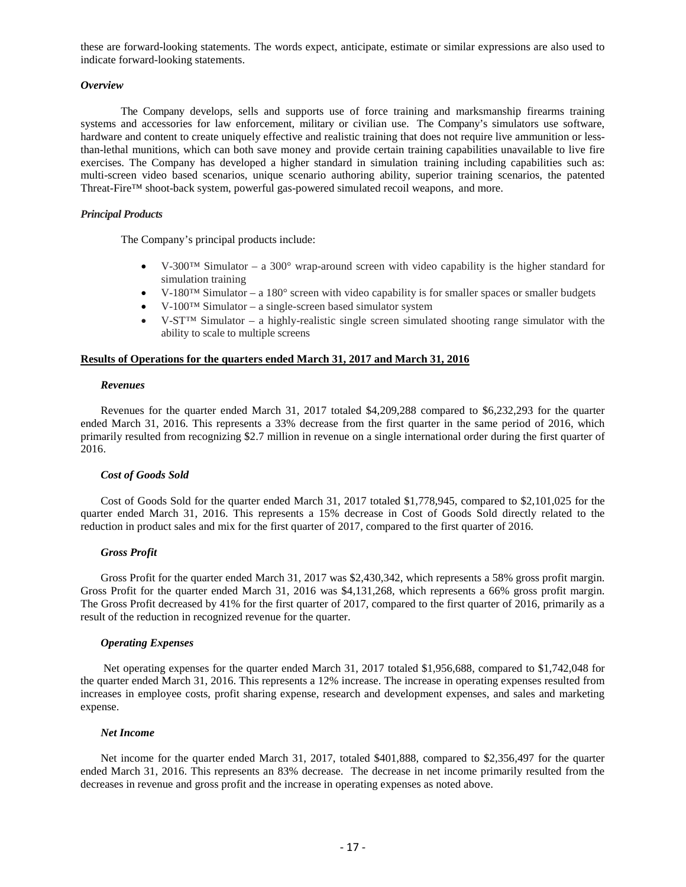these are forward-looking statements. The words expect, anticipate, estimate or similar expressions are also used to indicate forward-looking statements.

#### *Overview*

The Company develops, sells and supports use of force training and marksmanship firearms training systems and accessories for law enforcement, military or civilian use. The Company's simulators use software, hardware and content to create uniquely effective and realistic training that does not require live ammunition or lessthan-lethal munitions, which can both save money and provide certain training capabilities unavailable to live fire exercises. The Company has developed a higher standard in simulation training including capabilities such as: multi-screen video based scenarios, unique scenario authoring ability, superior training scenarios, the patented Threat-Fire™ shoot-back system, powerful gas-powered simulated recoil weapons, and more.

#### *Principal Products*

The Company's principal products include:

- V-300<sup>TM</sup> Simulator a 300 $^{\circ}$  wrap-around screen with video capability is the higher standard for simulation training
- V-180™ Simulator a 180° screen with video capability is for smaller spaces or smaller budgets
- V-100™ Simulator a single-screen based simulator system
- V-ST<sup>TM</sup> Simulator a highly-realistic single screen simulated shooting range simulator with the ability to scale to multiple screens

#### **Results of Operations for the quarters ended March 31, 2017 and March 31, 2016**

#### *Revenues*

Revenues for the quarter ended March 31, 2017 totaled \$4,209,288 compared to \$6,232,293 for the quarter ended March 31, 2016. This represents a 33% decrease from the first quarter in the same period of 2016, which primarily resulted from recognizing \$2.7 million in revenue on a single international order during the first quarter of 2016.

#### *Cost of Goods Sold*

Cost of Goods Sold for the quarter ended March 31, 2017 totaled \$1,778,945, compared to \$2,101,025 for the quarter ended March 31, 2016. This represents a 15% decrease in Cost of Goods Sold directly related to the reduction in product sales and mix for the first quarter of 2017, compared to the first quarter of 2016.

#### *Gross Profit*

Gross Profit for the quarter ended March 31, 2017 was \$2,430,342, which represents a 58% gross profit margin. Gross Profit for the quarter ended March 31, 2016 was \$4,131,268, which represents a 66% gross profit margin. The Gross Profit decreased by 41% for the first quarter of 2017, compared to the first quarter of 2016, primarily as a result of the reduction in recognized revenue for the quarter.

#### *Operating Expenses*

Net operating expenses for the quarter ended March 31, 2017 totaled \$1,956,688, compared to \$1,742,048 for the quarter ended March 31, 2016. This represents a 12% increase. The increase in operating expenses resulted from increases in employee costs, profit sharing expense, research and development expenses, and sales and marketing expense.

#### *Net Income*

Net income for the quarter ended March 31, 2017, totaled \$401,888, compared to \$2,356,497 for the quarter ended March 31, 2016. This represents an 83% decrease. The decrease in net income primarily resulted from the decreases in revenue and gross profit and the increase in operating expenses as noted above.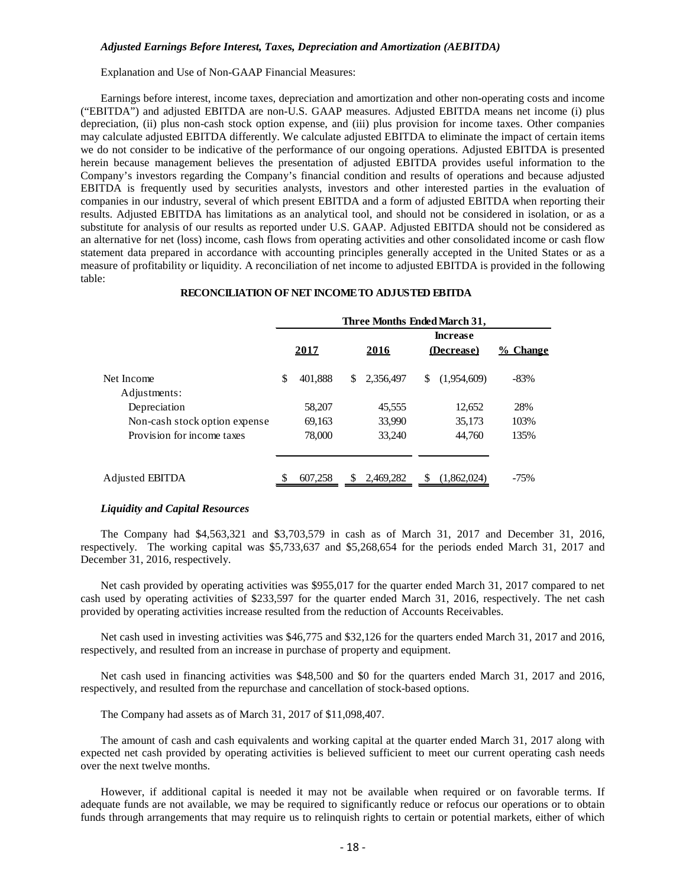#### *Adjusted Earnings Before Interest, Taxes, Depreciation and Amortization (AEBITDA)*

Explanation and Use of Non-GAAP Financial Measures:

Earnings before interest, income taxes, depreciation and amortization and other non-operating costs and income ("EBITDA") and adjusted EBITDA are non-U.S. GAAP measures. Adjusted EBITDA means net income (i) plus depreciation, (ii) plus non-cash stock option expense, and (iii) plus provision for income taxes. Other companies may calculate adjusted EBITDA differently. We calculate adjusted EBITDA to eliminate the impact of certain items we do not consider to be indicative of the performance of our ongoing operations. Adjusted EBITDA is presented herein because management believes the presentation of adjusted EBITDA provides useful information to the Company's investors regarding the Company's financial condition and results of operations and because adjusted EBITDA is frequently used by securities analysts, investors and other interested parties in the evaluation of companies in our industry, several of which present EBITDA and a form of adjusted EBITDA when reporting their results. Adjusted EBITDA has limitations as an analytical tool, and should not be considered in isolation, or as a substitute for analysis of our results as reported under U.S. GAAP. Adjusted EBITDA should not be considered as an alternative for net (loss) income, cash flows from operating activities and other consolidated income or cash flow statement data prepared in accordance with accounting principles generally accepted in the United States or as a measure of profitability or liquidity. A reconciliation of net income to adjusted EBITDA is provided in the following table:

## **Increase 2017 2016 (Decrease) % Change** Net Income  $\qquad$  \$ 401,888 \$ 2,356,497 \$ (1,954,609) -83% Adjustments: Depreciation 58,207 45,555 12,652 28% Non-cash stock option expense 69,163 33,990 35,173 103% Provision for income taxes 78,000 33,240 44,760 135% Adjusted EBITDA  $$ 607,258 $ 2,469,282 $ (1,862,024) -75\%$ **Three Months Ended March 31,**

#### **RECONCILIATION OF NET INCOME TO ADJUSTED EBITDA**

#### *Liquidity and Capital Resources*

The Company had \$4,563,321 and \$3,703,579 in cash as of March 31, 2017 and December 31, 2016, respectively. The working capital was \$5,733,637 and \$5,268,654 for the periods ended March 31, 2017 and December 31, 2016, respectively.

Net cash provided by operating activities was \$955,017 for the quarter ended March 31, 2017 compared to net cash used by operating activities of \$233,597 for the quarter ended March 31, 2016, respectively. The net cash provided by operating activities increase resulted from the reduction of Accounts Receivables.

Net cash used in investing activities was \$46,775 and \$32,126 for the quarters ended March 31, 2017 and 2016, respectively, and resulted from an increase in purchase of property and equipment.

Net cash used in financing activities was \$48,500 and \$0 for the quarters ended March 31, 2017 and 2016, respectively, and resulted from the repurchase and cancellation of stock-based options.

The Company had assets as of March 31, 2017 of \$11,098,407.

The amount of cash and cash equivalents and working capital at the quarter ended March 31, 2017 along with expected net cash provided by operating activities is believed sufficient to meet our current operating cash needs over the next twelve months.

However, if additional capital is needed it may not be available when required or on favorable terms. If adequate funds are not available, we may be required to significantly reduce or refocus our operations or to obtain funds through arrangements that may require us to relinquish rights to certain or potential markets, either of which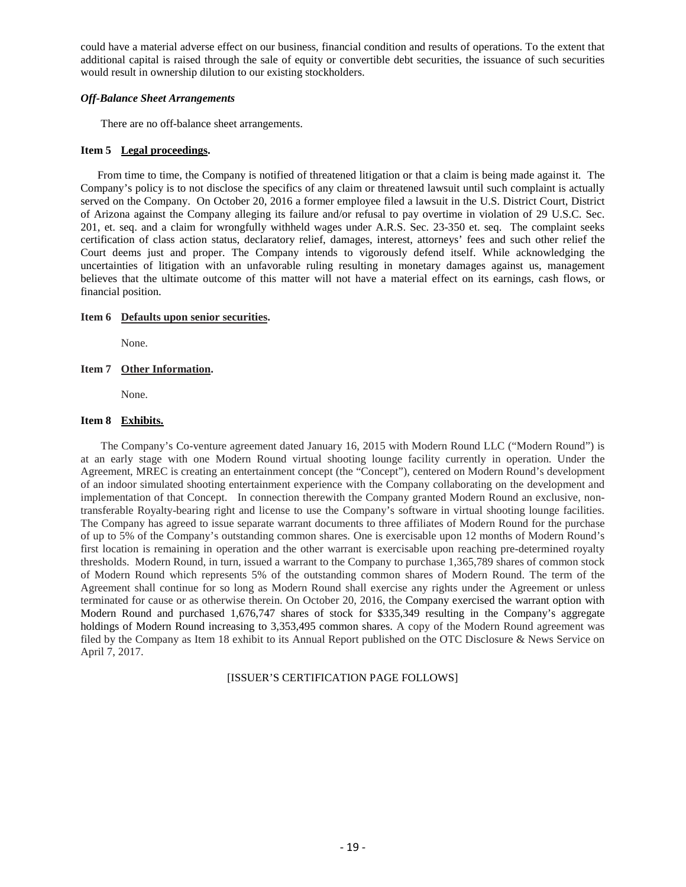could have a material adverse effect on our business, financial condition and results of operations. To the extent that additional capital is raised through the sale of equity or convertible debt securities, the issuance of such securities would result in ownership dilution to our existing stockholders.

#### *Off-Balance Sheet Arrangements*

There are no off-balance sheet arrangements.

#### <span id="page-18-0"></span>**Item 5 Legal proceedings.**

From time to time, the Company is notified of threatened litigation or that a claim is being made against it. The Company's policy is to not disclose the specifics of any claim or threatened lawsuit until such complaint is actually served on the Company. On October 20, 2016 a former employee filed a lawsuit in the U.S. District Court, District of Arizona against the Company alleging its failure and/or refusal to pay overtime in violation of 29 U.S.C. Sec. 201, et. seq. and a claim for wrongfully withheld wages under A.R.S. Sec. 23-350 et. seq. The complaint seeks certification of class action status, declaratory relief, damages, interest, attorneys' fees and such other relief the Court deems just and proper. The Company intends to vigorously defend itself. While acknowledging the uncertainties of litigation with an unfavorable ruling resulting in monetary damages against us, management believes that the ultimate outcome of this matter will not have a material effect on its earnings, cash flows, or financial position.

#### <span id="page-18-1"></span>**Item 6 Defaults upon senior securities.**

None.

#### <span id="page-18-2"></span>**Item 7 Other Information.**

None.

#### <span id="page-18-3"></span>**Item 8 Exhibits.**

The Company's Co-venture agreement dated January 16, 2015 with Modern Round LLC ("Modern Round") is at an early stage with one Modern Round virtual shooting lounge facility currently in operation. Under the Agreement, MREC is creating an entertainment concept (the "Concept"), centered on Modern Round's development of an indoor simulated shooting entertainment experience with the Company collaborating on the development and implementation of that Concept. In connection therewith the Company granted Modern Round an exclusive, nontransferable Royalty-bearing right and license to use the Company's software in virtual shooting lounge facilities. The Company has agreed to issue separate warrant documents to three affiliates of Modern Round for the purchase of up to 5% of the Company's outstanding common shares. One is exercisable upon 12 months of Modern Round's first location is remaining in operation and the other warrant is exercisable upon reaching pre-determined royalty thresholds. Modern Round, in turn, issued a warrant to the Company to purchase 1,365,789 shares of common stock of Modern Round which represents 5% of the outstanding common shares of Modern Round. The term of the Agreement shall continue for so long as Modern Round shall exercise any rights under the Agreement or unless terminated for cause or as otherwise therein. On October 20, 2016, the Company exercised the warrant option with Modern Round and purchased 1,676,747 shares of stock for \$335,349 resulting in the Company's aggregate holdings of Modern Round increasing to 3,353,495 common shares. A copy of the Modern Round agreement was filed by the Company as Item 18 exhibit to its Annual Report published on the OTC Disclosure & News Service on April 7, 2017.

### [ISSUER'S CERTIFICATION PAGE FOLLOWS]